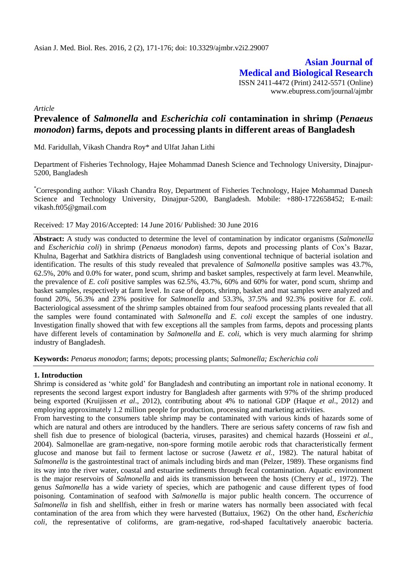**Asian Journal of Medical and Biological Research** ISSN 2411-4472 (Print) 2412-5571 (Online) www.ebupress.com/journal/ajmbr

*Article*

# **Prevalence of** *Salmonella* **and** *Escherichia coli* **contamination in shrimp (***Penaeus monodon***) farms, depots and processing plants in different areas of Bangladesh**

Md. Faridullah, Vikash Chandra Roy\* and Ulfat Jahan Lithi

Department of Fisheries Technology, Hajee Mohammad Danesh Science and Technology University, Dinajpur-5200, Bangladesh

\*Corresponding author: Vikash Chandra Roy, Department of Fisheries Technology, Hajee Mohammad Danesh Science and Technology University, Dinajpur-5200, Bangladesh. Mobile: +880-1722658452; E-mail: [vikash.ft05@gmail.com](mailto:vikash.ft05@gmail.com)

Received: 17 May 2016/Accepted: 14 June 2016/ Published: 30 June 2016

**Abstract:** A study was conducted to determine the level of contamination by indicator organisms (*Salmonella* and *Escherichia coli*) in shrimp (*Penaeus monodon*) farms, depots and processing plants of Cox's Bazar, Khulna, Bagerhat and Satkhira districts of Bangladesh using conventional technique of bacterial isolation and identification. The results of this study revealed that prevalence of *Salmonella* positive samples was 43.7%, 62.5%, 20% and 0.0% for water, pond scum, shrimp and basket samples, respectively at farm level. Meanwhile, the prevalence of *E. coli* positive samples was 62.5%, 43.7%, 60% and 60% for water, pond scum, shrimp and basket samples, respectively at farm level. In case of depots, shrimp, basket and mat samples were analyzed and found 20%, 56.3% and 23% positive for *Salmonella* and 53.3%, 37.5% and 92.3% positive for *E. coli*. Bacteriological assessment of the shrimp samples obtained from four seafood processing plants revealed that all the samples were found contaminated with *Salmonella* and *E. coli* except the samples of one industry. Investigation finally showed that with few exceptions all the samples from farms, depots and processing plants have different levels of contamination by *Salmonella* and *E. coli*, which is very much alarming for shrimp industry of Bangladesh.

**Keywords:** *Penaeus monodon*; farms; depots; processing plants; *Salmonella; Escherichia coli*

# **1. Introduction**

Shrimp is considered as 'white gold' for Bangladesh and contributing an important role in national economy. It represents the second largest export industry for Bangladesh after garments with 97% of the shrimp produced being exported (Kruijissen *et al*., 2012), contributing about 4% to national GDP (Haque *et al*., 2012) and employing approximately 1.2 million people for production, processing and marketing activities.

From harvesting to the consumers table shrimp may be contaminated with various kinds of hazards some of which are natural and others are introduced by the handlers. There are serious safety concerns of raw fish and shell fish due to presence of biological (bacteria, viruses, parasites) and chemical hazards (Hosseini *et al.,*  2004). Salmonellae are gram-negative, non-spore forming motile aerobic rods that characteristically ferment glucose and manose but fail to ferment lactose or sucrose (Jawetz *et al.,* 1982). The natural habitat of *Salmonella* is the gastrointestinal tract of animals including birds and man (Pelzer, 1989). These organisms find its way into the river water, coastal and estuarine sediments through fecal contamination. Aquatic environment is the major reservoirs of *Salmonella* and aids its transmission between the hosts (Cherry *et al.,* 1972). The genus *Salmonella* has a wide variety of species, which are pathogenic and cause different types of food poisoning. Contamination of seafood with *Salmonella* is major public health concern. The occurrence of *Salmonella* in fish and shellfish, either in fresh or marine waters has normally been associated with fecal contamination of the area from which they were harvested (Buttaiux, 1962) On the other hand, *Escherichia coli*, the representative of coliforms, are gram-negative, rod-shaped facultatively anaerobic bacteria.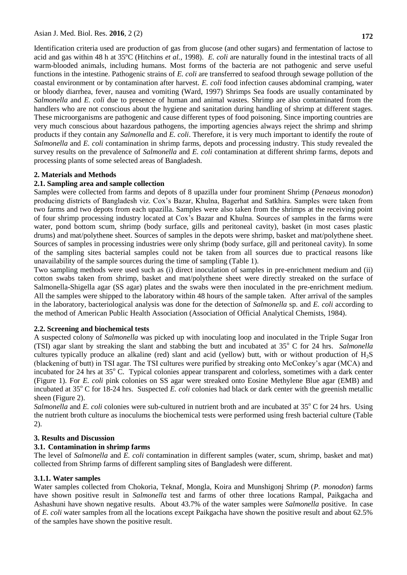Identification criteria used are production of gas from glucose (and other sugars) and fermentation of lactose to acid and gas within 48 h at 35ºC (Hitchins *et al.,* 1998). *E. coli* are naturally found in the intestinal tracts of all warm-blooded animals, including humans. Most forms of the bacteria are not pathogenic and serve useful functions in the intestine. Pathogenic strains of *E. coli* are transferred to seafood through sewage pollution of the coastal environment or by contamination after harvest. *E. coli* food infection causes abdominal cramping, water or bloody diarrhea, fever, nausea and vomiting (Ward, 1997) Shrimps Sea foods are usually contaminated by *Salmonella* and *E. coli* due to presence of human and animal wastes. Shrimp are also contaminated from the handlers who are not conscious about the hygiene and sanitation during handling of shrimp at different stages. These microorganisms are pathogenic and cause different types of food poisoning. Since importing countries are very much conscious about hazardous pathogens, the importing agencies always reject the shrimp and shrimp products if they contain any *Salmonella* and *E. coli*. Therefore, it is very much important to identify the route of *Salmonella* and *E. coli* contamination in shrimp farms, depots and processing industry. This study revealed the survey results on the prevalence of *Salmonella* and *E. coli* contamination at different shrimp farms, depots and processing plants of some selected areas of Bangladesh.

### **2. Materials and Methods**

### **2.1. Sampling area and sample collection**

Samples were collected from farms and depots of 8 upazilla under four prominent Shrimp (*Penaeus monodon*) producing districts of Bangladesh viz. Cox's Bazar, Khulna, Bagerhat and Satkhira. Samples were taken from two farms and two depots from each upazilla. Samples were also taken from the shrimps at the receiving point of four shrimp processing industry located at Cox's Bazar and Khulna. Sources of samples in the farms were water, pond bottom scum, shrimp (body surface, gills and peritoneal cavity), basket (in most cases plastic drums) and mat/polythene sheet. Sources of samples in the depots were shrimp, basket and mat/polythene sheet. Sources of samples in processing industries were only shrimp (body surface, gill and peritoneal cavity). In some of the sampling sites bacterial samples could not be taken from all sources due to practical reasons like unavailability of the sample sources during the time of sampling (Table 1).

Two sampling methods were used such as (i) direct inoculation of samples in pre-enrichment medium and (ii) cotton swabs taken from shrimp, basket and mat/polythene sheet were directly streaked on the surface of Salmonella-Shigella agar (SS agar) plates and the swabs were then inoculated in the pre-enrichment medium. All the samples were shipped to the laboratory within 48 hours of the sample taken. After arrival of the samples in the laboratory, bacteriological analysis was done for the detection of *Salmonella* sp. and *E. coli* according to the method of American Public Health Association (Association of Official Analytical Chemists, 1984).

### **2.2. Screening and biochemical tests**

A suspected colony of *Salmonella* was picked up with inoculating loop and inoculated in the Triple Sugar Iron (TSI) agar slant by streaking the slant and stabbing the butt and incubated at 35<sup>°</sup> C for 24 hrs. *Salmonella* cultures typically produce an alkaline (red) slant and acid (yellow) butt, with or without production of  $H_2S$ (blackening of butt) in TSI agar. The TSI cultures were purified by streaking onto McConkey's agar (MCA) and incubated for 24 hrs at 35<sup>o</sup> C. Typical colonies appear transparent and colorless, sometimes with a dark center (Figure 1). For *E. coli* pink colonies on SS agar were streaked onto Eosine Methylene Blue agar (EMB) and incubated at  $35^{\circ}$  C for 18-24 hrs. Suspected *E. coli* colonies had black or dark center with the greenish metallic sheen (Figure 2).

*Salmonella* and *E. coli* colonies were sub-cultured in nutrient broth and are incubated at 35° C for 24 hrs. Using the nutrient broth culture as inoculums the biochemical tests were performed using fresh bacterial culture (Table 2).

### **3. Results and Discussion**

# **3.1. Contamination in shrimp farms**

The level of *Salmonella* and *E. coli* contamination in different samples (water, scum, shrimp, basket and mat) collected from Shrimp farms of different sampling sites of Bangladesh were different.

#### **3.1.1. Water samples**

Water samples collected from Chokoria, Teknaf, Mongla, Koira and Munshigonj Shrimp (*P. monodon*) farms have shown positive result in *Salmonella* test and farms of other three locations Rampal, Paikgacha and Ashashuni have shown negative results. About 43.7% of the water samples were *Salmonella* positive. In case of *E. coli* water samples from all the locations except Paikgacha have shown the positive result and about 62.5% of the samples have shown the positive result.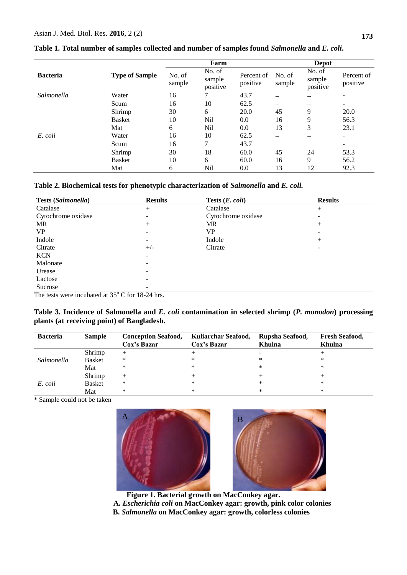|                 |                       |                  | Farm                         |                        |                  | <b>Depot</b>                 |                        |
|-----------------|-----------------------|------------------|------------------------------|------------------------|------------------|------------------------------|------------------------|
| <b>Bacteria</b> | <b>Type of Sample</b> | No. of<br>sample | No. of<br>sample<br>positive | Percent of<br>positive | No. of<br>sample | No. of<br>sample<br>positive | Percent of<br>positive |
| Salmonella      | Water                 | 16               | $\mathcal{I}$                | 43.7                   |                  |                              |                        |
|                 | Scum                  | 16               | 10                           | 62.5                   | —                |                              | ۰.                     |
|                 | Shrimp                | 30               | 6                            | 20.0                   | 45               | 9                            | 20.0                   |
|                 | <b>Basket</b>         | 10               | Nil                          | 0.0                    | 16               | 9                            | 56.3                   |
|                 | Mat                   | 6                | Nil                          | 0.0                    | 13               | 3                            | 23.1                   |
| E. coli         | Water                 | 16               | 10                           | 62.5                   |                  |                              | -                      |
|                 | Scum                  | 16               | 7                            | 43.7                   |                  |                              |                        |
|                 | Shrimp                | 30               | 18                           | 60.0                   | 45               | 24                           | 53.3                   |
|                 | <b>Basket</b>         | 10               | 6                            | 60.0                   | 16               | 9                            | 56.2                   |
|                 | Mat                   | 6                | Nil                          | 0.0                    | 13               | 12                           | 92.3                   |

# **Table 1. Total number of samples collected and number of samples found** *Salmonella* **and** *E. coli***.**

# **Table 2. Biochemical tests for phenotypic characterization of** *Salmonella* **and** *E. coli.*

| <b>Tests (Salmonella)</b> | <b>Results</b> | Tests $(E. \text{ coli})$ | <b>Results</b> |
|---------------------------|----------------|---------------------------|----------------|
| Catalase                  | $^{+}$         | Catalase                  | $^+$           |
| Cytochrome oxidase        |                | Cytochrome oxidase        |                |
| <b>MR</b>                 | $^+$           | <b>MR</b>                 | $^{+}$         |
| VP                        |                | <b>VP</b>                 |                |
| Indole                    |                | Indole                    | $^{+}$         |
| Citrate                   | $+/-$          | Citrate                   |                |
| <b>KCN</b>                |                |                           |                |
| Malonate                  |                |                           |                |
| Urease                    |                |                           |                |
| Lactose                   |                |                           |                |
| Sucrose                   |                |                           |                |

The tests were incubated at  $35^{\circ}$  C for 18-24 hrs.

## **Table 3. Incidence of Salmonella and** *E. coli* **contamination in selected shrimp (***P. monodon***) processing plants (at receiving point) of Bangladesh.**

| <b>Bacteria</b> | <b>Sample</b> | <b>Conception Seafood,</b><br>Cox's Bazar | Kuliarchar Seafood,<br>Cox's Bazar | Rupsha Seafood,<br>Khulna | <b>Fresh Seafood,</b><br>Khulna |
|-----------------|---------------|-------------------------------------------|------------------------------------|---------------------------|---------------------------------|
| Salmonella      | Shrimp        | $^+$                                      |                                    |                           |                                 |
|                 | <b>Basket</b> | $\ast$                                    | ∗                                  | ∗                         | *                               |
|                 | Mat           | ∗                                         | ∗                                  | *                         | *                               |
| E. coli         | Shrimp        |                                           |                                    |                           |                                 |
|                 | <b>Basket</b> | ∗                                         | ∗                                  | *                         | *                               |
|                 | Mat           | ∗                                         | ∗                                  | $\ast$                    | *                               |

\* Sample could not be taken



**Figure 1. Bacterial growth on MacConkey agar. A.** *Escherichia coli* **on MacConkey agar: growth, pink color colonies B.** *Salmonella* **on MacConkey agar: growth, colorless colonies**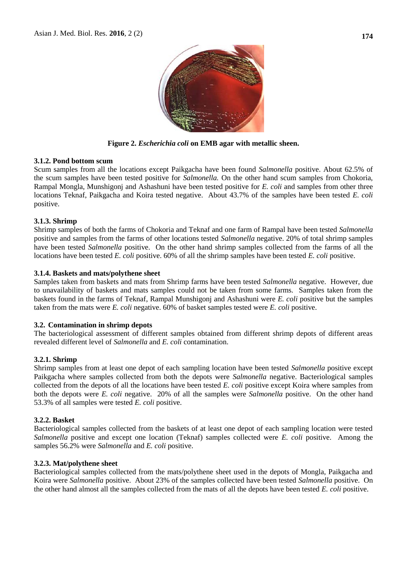

**Figure 2.** *Escherichia coli* **on EMB agar with metallic sheen.**

# **3.1.2. Pond bottom scum**

Scum samples from all the locations except Paikgacha have been found *Salmonella* positive. About 62.5% of the scum samples have been tested positive for *Salmonella.* On the other hand scum samples from Chokoria, Rampal Mongla, Munshigonj and Ashashuni have been tested positive for *E. coli* and samples from other three locations Teknaf, Paikgacha and Koira tested negative. About 43.7% of the samples have been tested *E. coli* positive.

# **3.1.3. Shrimp**

Shrimp samples of both the farms of Chokoria and Teknaf and one farm of Rampal have been tested *Salmonella* positive and samples from the farms of other locations tested *Salmonella* negative. 20% of total shrimp samples have been tested *Salmonella* positive. On the other hand shrimp samples collected from the farms of all the locations have been tested *E. coli* positive. 60% of all the shrimp samples have been tested *E. coli* positive.

### **3.1.4. Baskets and mats/polythene sheet**

Samples taken from baskets and mats from Shrimp farms have been tested *Salmonella* negative. However, due to unavailability of baskets and mats samples could not be taken from some farms. Samples taken from the baskets found in the farms of Teknaf, Rampal Munshigonj and Ashashuni were *E. coli* positive but the samples taken from the mats were *E. coli* negative. 60% of basket samples tested were *E. coli* positive.

### **3.2. Contamination in shrimp depots**

The bacteriological assessment of different samples obtained from different shrimp depots of different areas revealed different level of *Salmonella* and *E. coli* contamination.

### **3.2.1. Shrimp**

Shrimp samples from at least one depot of each sampling location have been tested *Salmonella* positive except Paikgacha where samples collected from both the depots were *Salmonella* negative. Bacteriological samples collected from the depots of all the locations have been tested *E. coli* positive except Koira where samples from both the depots were *E. coli* negative. 20% of all the samples were *Salmonella* positive. On the other hand 53.3% of all samples were tested *E. coli* positive.

### **3.2.2. Basket**

Bacteriological samples collected from the baskets of at least one depot of each sampling location were tested *Salmonella* positive and except one location (Teknaf) samples collected were *E. coli* positive. Among the samples 56.2% were *Salmonella* and *E. coli* positive.

### **3.2.3. Mat/polythene sheet**

Bacteriological samples collected from the mats/polythene sheet used in the depots of Mongla, Paikgacha and Koira were *Salmonella* positive. About 23% of the samples collected have been tested *Salmonella* positive. On the other hand almost all the samples collected from the mats of all the depots have been tested *E. coli* positive.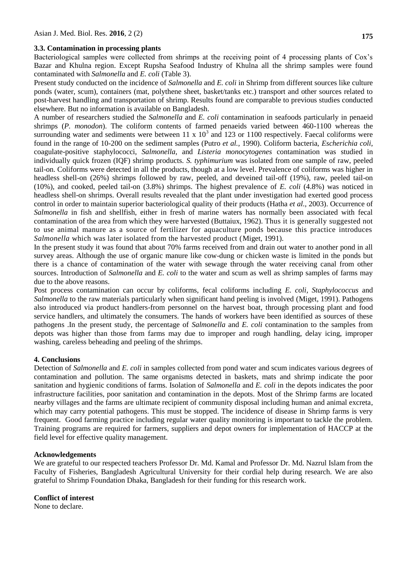### **3.3. Contamination in processing plants**

Bacteriological samples were collected from shrimps at the receiving point of 4 processing plants of Cox's Bazar and Khulna region. Except Rupsha Seafood Industry of Khulna all the shrimp samples were found contaminated with *Salmonella* and *E. coli* (Table 3).

Present study conducted on the incidence of *Salmonella* and *E. coli* in Shrimp from different sources like culture ponds (water, scum), containers (mat, polythene sheet, basket/tanks etc.) transport and other sources related to post-harvest handling and transportation of shrimp. Results found are comparable to previous studies conducted elsewhere. But no information is available on Bangladesh.

A number of researchers studied the *Salmonella* and *E. coli* contamination in seafoods particularly in penaeid shrimps (*P. monodon*). The coliform contents of farmed penaeids varied between 460-1100 whereas the surrounding water and sediments were between 11 x  $10^3$  and 123 or 1100 respectively. Faecal coliforms were found in the range of 10-200 on the sediment samples (Putro *et al.,* 1990). Coliform bacteria, *Escherichia coli*, coagulate-positive staphylococci, *Salmonella*, and *Listeria monocytogenes* contamination was studied in individually quick frozen (IQF) shrimp products. *S. typhimurium* was isolated from one sample of raw, peeled tail-on. Coliforms were detected in all the products, though at a low level. Prevalence of coliforms was higher in headless shell-on (26%) shrimps followed by raw, peeled, and deveined tail-off (19%), raw, peeled tail-on (10%), and cooked, peeled tail-on (3.8%) shrimps. The highest prevalence of *E. coli* (4.8%) was noticed in headless shell-on shrimps. Overall results revealed that the plant under investigation had exerted good process control in order to maintain superior bacteriological quality of their products (Hatha *et al.,* 2003). Occurrence of *Salmonella* in fish and shellfish, either in fresh of marine waters has normally been associated with fecal contamination of the area from which they were harvested (Buttaiux, 1962). Thus it is generally suggested not to use animal manure as a source of fertilizer for aquaculture ponds because this practice introduces *Salmonella* which was later isolated from the harvested product (Miget, 1991).

In the present study it was found that about 70% farms received from and drain out water to another pond in all survey areas. Although the use of organic manure like cow-dung or chicken waste is limited in the ponds but there is a chance of contamination of the water with sewage through the water receiving canal from other sources. Introduction of *Salmonella* and *E. coli* to the water and scum as well as shrimp samples of farms may due to the above reasons.

Post process contamination can occur by coliforms, fecal coliforms including *E. coli, Staphylococcus* and *Salmonella* to the raw materials particularly when significant hand peeling is involved (Miget, 1991). Pathogens also introduced via product handlers-from personnel on the harvest boat, through processing plant and food service handlers, and ultimately the consumers. The hands of workers have been identified as sources of these pathogens .In the present study, the percentage of *Salmonella* and *E. coli* contamination to the samples from depots was higher than those from farms may due to improper and rough handling, delay icing, improper washing, careless beheading and peeling of the shrimps.

# **4. Conclusions**

Detection of *Salmonella* and *E. coli* in samples collected from pond water and scum indicates various degrees of contamination and pollution. The same organisms detected in baskets, mats and shrimp indicate the poor sanitation and hygienic conditions of farms. Isolation of *Salmonella* and *E. coli* in the depots indicates the poor infrastructure facilities, poor sanitation and contamination in the depots. Most of the Shrimp farms are located nearby villages and the farms are ultimate recipient of community disposal including human and animal excreta, which may carry potential pathogens. This must be stopped. The incidence of disease in Shrimp farms is very frequent. Good farming practice including regular water quality monitoring is important to tackle the problem. Training programs are required for farmers, suppliers and depot owners for implementation of HACCP at the field level for effective quality management.

### **Acknowledgements**

We are grateful to our respected teachers Professor Dr. Md. Kamal and Professor Dr. Md. Nazrul Islam from the Faculty of Fisheries, Bangladesh Agricultural University for their cordial help during research. We are also grateful to Shrimp Foundation Dhaka, Bangladesh for their funding for this research work.

# **Conflict of interest**

None to declare.